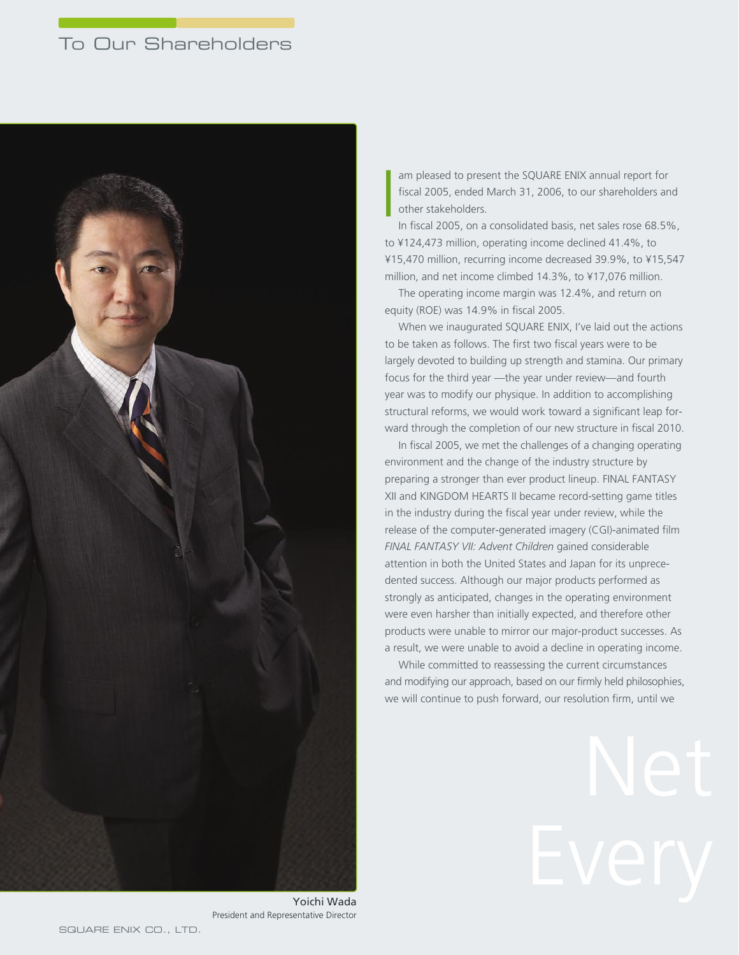# To Our Shareholders



am pleased to present the SQUARE ENIX annual report for fiscal 2005, ended March 31, 2006, to our shareholders and other stakeholders. I

In fiscal 2005, on a consolidated basis, net sales rose 68.5%, to ¥124,473 million, operating income declined 41.4%, to ¥15,470 million, recurring income decreased 39.9%, to ¥15,547 million, and net income climbed 14.3%, to ¥17,076 million.

The operating income margin was 12.4%, and return on equity (ROE) was 14.9% in fiscal 2005.

When we inaugurated SQUARE ENIX, I've laid out the actions to be taken as follows. The first two fiscal years were to be largely devoted to building up strength and stamina. Our primary focus for the third year —the year under review—and fourth year was to modify our physique. In addition to accomplishing structural reforms, we would work toward a significant leap forward through the completion of our new structure in fiscal 2010.

In fiscal 2005, we met the challenges of a changing operating environment and the change of the industry structure by preparing a stronger than ever product lineup. FINAL FANTASY XII and KINGDOM HEARTS II became record-setting game titles in the industry during the fiscal year under review, while the release of the computer-generated imagery (CGI)-animated film *FINAL FANTASY VII: Advent Children* gained considerable attention in both the United States and Japan for its unprecedented success. Although our major products performed as strongly as anticipated, changes in the operating environment were even harsher than initially expected, and therefore other products were unable to mirror our major-product successes. As a result, we were unable to avoid a decline in operating income.

While committed to reassessing the current circumstances and modifying our approach, based on our firmly held philosophies, we will continue to push forward, our resolution firm, until we

Yoichi Wada President and Representative Director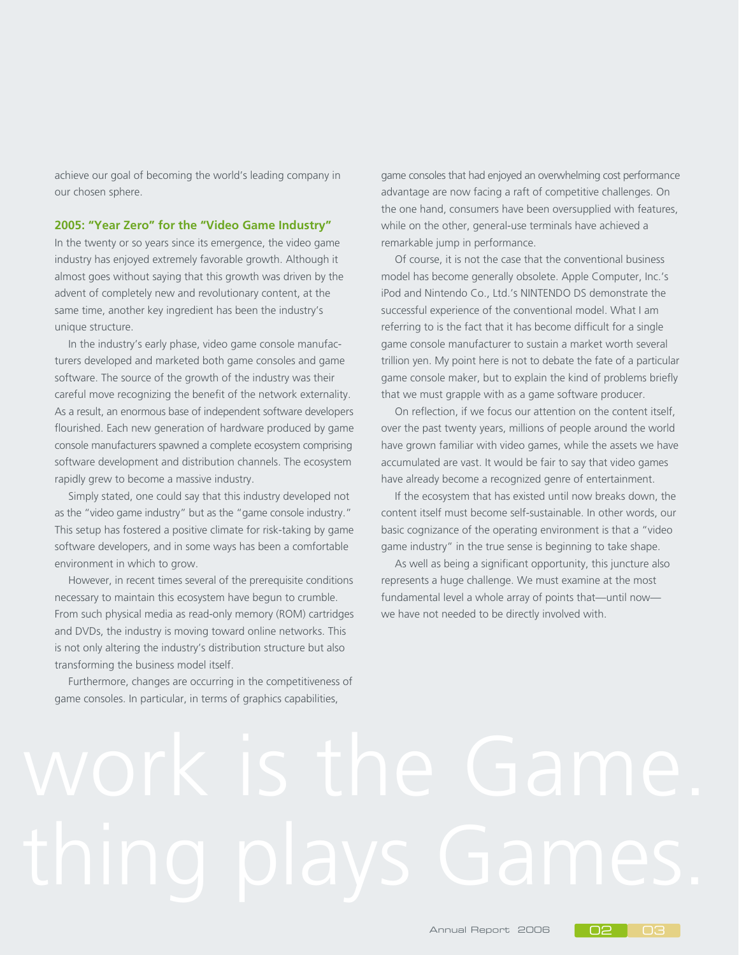achieve our goal of becoming the world's leading company in our chosen sphere.

#### **2005: "Year Zero" for the "Video Game Industry"**

In the twenty or so years since its emergence, the video game industry has enjoyed extremely favorable growth. Although it almost goes without saying that this growth was driven by the advent of completely new and revolutionary content, at the same time, another key ingredient has been the industry's unique structure.

In the industry's early phase, video game console manufacturers developed and marketed both game consoles and game software. The source of the growth of the industry was their careful move recognizing the benefit of the network externality. As a result, an enormous base of independent software developers flourished. Each new generation of hardware produced by game console manufacturers spawned a complete ecosystem comprising software development and distribution channels. The ecosystem rapidly grew to become a massive industry.

Simply stated, one could say that this industry developed not as the "video game industry" but as the "game console industry." This setup has fostered a positive climate for risk-taking by game software developers, and in some ways has been a comfortable environment in which to grow.

However, in recent times several of the prerequisite conditions necessary to maintain this ecosystem have begun to crumble. From such physical media as read-only memory (ROM) cartridges and DVDs, the industry is moving toward online networks. This is not only altering the industry's distribution structure but also transforming the business model itself.

Furthermore, changes are occurring in the competitiveness of game consoles. In particular, in terms of graphics capabilities,

game consoles that had enjoyed an overwhelming cost performance advantage are now facing a raft of competitive challenges. On the one hand, consumers have been oversupplied with features, while on the other, general-use terminals have achieved a remarkable jump in performance.

Of course, it is not the case that the conventional business model has become generally obsolete. Apple Computer, Inc.'s iPod and Nintendo Co., Ltd.'s NINTENDO DS demonstrate the successful experience of the conventional model. What I am referring to is the fact that it has become difficult for a single game console manufacturer to sustain a market worth several trillion yen. My point here is not to debate the fate of a particular game console maker, but to explain the kind of problems briefly that we must grapple with as a game software producer.

On reflection, if we focus our attention on the content itself, over the past twenty years, millions of people around the world have grown familiar with video games, while the assets we have accumulated are vast. It would be fair to say that video games have already become a recognized genre of entertainment.

If the ecosystem that has existed until now breaks down, the content itself must become self-sustainable. In other words, our basic cognizance of the operating environment is that a "video game industry" in the true sense is beginning to take shape.

As well as being a significant opportunity, this juncture also represents a huge challenge. We must examine at the most fundamental level a whole array of points that—until now we have not needed to be directly involved with.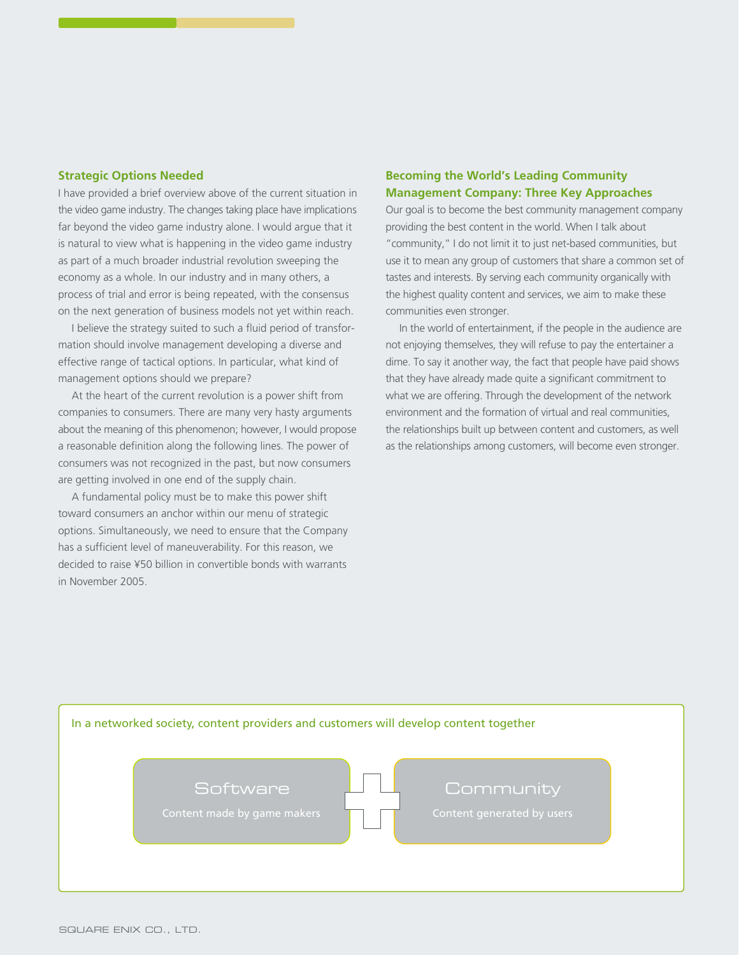## **Strategic Options Needed**

I have provided a brief overview above of the current situation in the video game industry. The changes taking place have implications far beyond the video game industry alone. I would argue that it is natural to view what is happening in the video game industry as part of a much broader industrial revolution sweeping the economy as a whole. In our industry and in many others, a process of trial and error is being repeated, with the consensus on the next generation of business models not yet within reach.

I believe the strategy suited to such a fluid period of transformation should involve management developing a diverse and effective range of tactical options. In particular, what kind of management options should we prepare?

At the heart of the current revolution is a power shift from companies to consumers. There are many very hasty arguments about the meaning of this phenomenon; however, I would propose a reasonable definition along the following lines. The power of consumers was not recognized in the past, but now consumers are getting involved in one end of the supply chain.

A fundamental policy must be to make this power shift toward consumers an anchor within our menu of strategic options. Simultaneously, we need to ensure that the Company has a sufficient level of maneuverability. For this reason, we decided to raise ¥50 billion in convertible bonds with warrants in November 2005.

# **Becoming the World's Leading Community Management Company: Three Key Approaches**

Our goal is to become the best community management company providing the best content in the world. When I talk about "community," I do not limit it to just net-based communities, but use it to mean any group of customers that share a common set of tastes and interests. By serving each community organically with the highest quality content and services, we aim to make these communities even stronger.

In the world of entertainment, if the people in the audience are not enjoying themselves, they will refuse to pay the entertainer a dime. To say it another way, the fact that people have paid shows that they have already made quite a significant commitment to what we are offering. Through the development of the network environment and the formation of virtual and real communities, the relationships built up between content and customers, as well as the relationships among customers, will become even stronger.

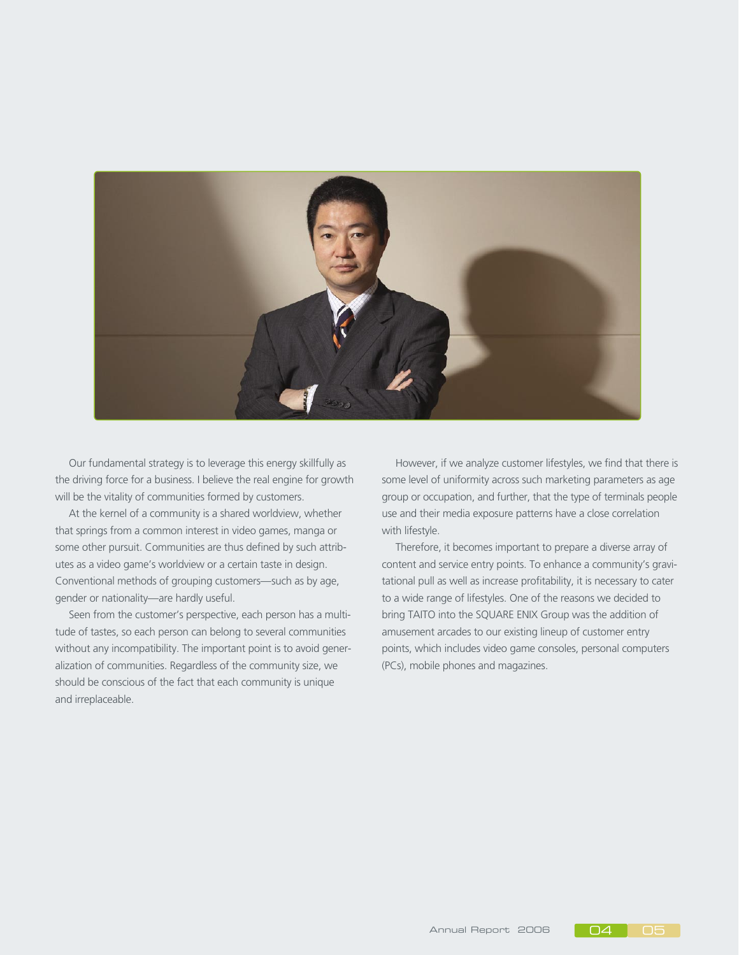

Our fundamental strategy is to leverage this energy skillfully as the driving force for a business. I believe the real engine for growth will be the vitality of communities formed by customers.

At the kernel of a community is a shared worldview, whether that springs from a common interest in video games, manga or some other pursuit. Communities are thus defined by such attributes as a video game's worldview or a certain taste in design. Conventional methods of grouping customers—such as by age, gender or nationality—are hardly useful.

Seen from the customer's perspective, each person has a multitude of tastes, so each person can belong to several communities without any incompatibility. The important point is to avoid generalization of communities. Regardless of the community size, we should be conscious of the fact that each community is unique and irreplaceable.

However, if we analyze customer lifestyles, we find that there is some level of uniformity across such marketing parameters as age group or occupation, and further, that the type of terminals people use and their media exposure patterns have a close correlation with lifestyle.

Therefore, it becomes important to prepare a diverse array of content and service entry points. To enhance a community's gravitational pull as well as increase profitability, it is necessary to cater to a wide range of lifestyles. One of the reasons we decided to bring TAITO into the SQUARE ENIX Group was the addition of amusement arcades to our existing lineup of customer entry points, which includes video game consoles, personal computers (PCs), mobile phones and magazines.

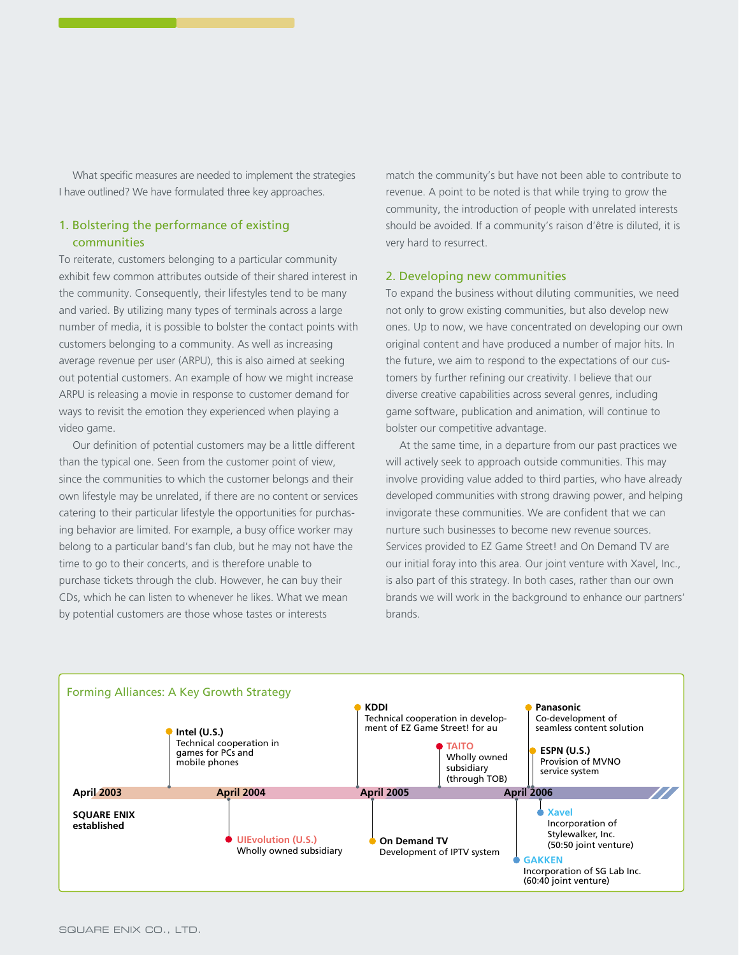What specific measures are needed to implement the strategies I have outlined? We have formulated three key approaches.

# 1. Bolstering the performance of existing communities

To reiterate, customers belonging to a particular community exhibit few common attributes outside of their shared interest in the community. Consequently, their lifestyles tend to be many and varied. By utilizing many types of terminals across a large number of media, it is possible to bolster the contact points with customers belonging to a community. As well as increasing average revenue per user (ARPU), this is also aimed at seeking out potential customers. An example of how we might increase ARPU is releasing a movie in response to customer demand for ways to revisit the emotion they experienced when playing a video game.

Our definition of potential customers may be a little different than the typical one. Seen from the customer point of view, since the communities to which the customer belongs and their own lifestyle may be unrelated, if there are no content or services catering to their particular lifestyle the opportunities for purchasing behavior are limited. For example, a busy office worker may belong to a particular band's fan club, but he may not have the time to go to their concerts, and is therefore unable to purchase tickets through the club. However, he can buy their CDs, which he can listen to whenever he likes. What we mean by potential customers are those whose tastes or interests

match the community's but have not been able to contribute to revenue. A point to be noted is that while trying to grow the community, the introduction of people with unrelated interests should be avoided. If a community's raison d'être is diluted, it is very hard to resurrect.

#### 2. Developing new communities

To expand the business without diluting communities, we need not only to grow existing communities, but also develop new ones. Up to now, we have concentrated on developing our own original content and have produced a number of major hits. In the future, we aim to respond to the expectations of our customers by further refining our creativity. I believe that our diverse creative capabilities across several genres, including game software, publication and animation, will continue to bolster our competitive advantage.

At the same time, in a departure from our past practices we will actively seek to approach outside communities. This may involve providing value added to third parties, who have already developed communities with strong drawing power, and helping invigorate these communities. We are confident that we can nurture such businesses to become new revenue sources. Services provided to EZ Game Street! and On Demand TV are our initial foray into this area. Our joint venture with Xavel, Inc., is also part of this strategy. In both cases, rather than our own brands we will work in the background to enhance our partners' brands.